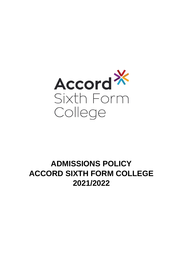

# **ADMISSIONS POLICY ACCORD SIXTH FORM COLLEGE 2021/2022**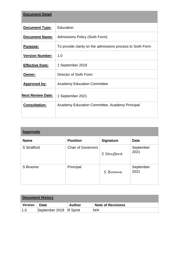| <b>Document Detail</b>   |                                                            |
|--------------------------|------------------------------------------------------------|
| <b>Document Type:</b>    | Education                                                  |
| <b>Document Name:</b>    | Admissions Policy (Sixth Form)                             |
| <u>Purpose:</u>          | To provide clarity on the admissions process to Sixth Form |
| <b>Version Number:</b>   | 1.0                                                        |
| <b>Effective from:</b>   | 1 September 2019                                           |
| Owner:                   | Director of Sixth Form                                     |
| <b>Approved by:</b>      | <b>Academy Education Committee</b>                         |
| <b>Next Review Date:</b> | 1 September 2021                                           |
| <b>Consultation:</b>     | Academy Education Committee, Academy Principal             |

| <b>Approvals</b> |                           |                  |                   |  |  |  |
|------------------|---------------------------|------------------|-------------------|--|--|--|
| <b>Name</b>      | <b>Position</b>           | <b>Signature</b> | <b>Date</b>       |  |  |  |
| S Strafford      | <b>Chair of Governors</b> | S Strafford      | September<br>2021 |  |  |  |
| S Broome         | Principal                 | S Broome         | September<br>2021 |  |  |  |

| <b>Document History</b> |                        |        |                          |  |  |  |
|-------------------------|------------------------|--------|--------------------------|--|--|--|
| <b>Version</b>          | <b>Date</b>            | Author | <b>Note of Revisions</b> |  |  |  |
|                         | September 2019 R Spink |        | N/A                      |  |  |  |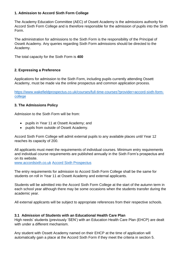# **1. Admission to Accord Sixth Form College**

The Academy Education Committee (AEC) of Ossett Academy is the admissions authority for Accord Sixth Form College and is therefore responsible for the admission of pupils into the Sixth Form.

The administration for admissions to the Sixth Form is the responsibility of the Principal of Ossett Academy. Any queries regarding Sixth Form admissions should be directed to the Academy.

The total capacity for the Sixth Form is **400**

# **2. Expressing a Preference**

Applications for admission to the Sixth Form, including pupils currently attending Ossett Academy, must be made via the online prospectus and common application process.

[https://www.wakefieldprospectus.co.uk/courses/full-time-courses?provider=accord-sixth-form](https://www.wakefieldprospectus.co.uk/courses/full-time-courses?provider=accord-sixth-form-college)[college](https://www.wakefieldprospectus.co.uk/courses/full-time-courses?provider=accord-sixth-form-college)

#### **3. The Admissions Policy**

Admission to the Sixth Form will be from:

- pupils in Year 11 at Ossett Academy; and
- pupils from outside of Ossett Academy.

Accord Sixth Form College will admit external pupils to any available places until Year 12 reaches its capacity of 200.

All applicants must meet the requirements of individual courses. Minimum entry requirements and individual course requirements are published annually in the Sixth Form's prospectus and on its website[.](http://www.accordsixth.co.uk/)

[www.accordsixth.co.uk](http://www.accordsixth.co.uk/) [Accord Sixth Prospectus](https://www.accordsixth.co.uk/wp-content/uploads/2018/11/Accord-Sixth-Prospectus_19-20_v4.pdf)

The entry requirements for admission to Accord Sixth Form College shall be the same for students on roll in Year 11 at Ossett Academy and external applicants.

Students will be admitted into the Accord Sixth Form College at the start of the autumn term in each school year although there may be some occasions when the students transfer during the academic year.

All external applicants will be subject to appropriate references from their respective schools.

# **3.1 Admission of Students with an Educational Health Care Plan**

High needs' students (previously 'SEN') with an Education Health Care Plan (EHCP) are dealt with under a different mechanism.

Any student with Ossett Academy named on their EHCP at the time of application will automatically gain a place at the Accord Sixth Form if they meet the criteria in section 5.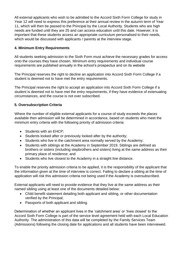All external applicants who wish to be admitted to the Accord Sixth Form College for study in Year 12 will need to express this preference at their annual review in the autumn term of Year 11, which will then be passed to the Principal by the Local Authority. Students who are high needs are funded until they are 25 and can access education until this date. However, it is important that these students access an appropriate curriculum personalised to their needs, which would be discussed with applicants / parents at the interview stage.

# **4. Minimum Entry Requirements**

All students seeking admission to the Sixth Form must achieve the necessary grades for access onto the courses they have chosen. Minimum entry requirements and individual course requirements are published annually in the school's prospectus and on its website

The Principal reserves the right to decline an application into Accord Sixth Form College if a student is deemed not to have met the entry requirements.

The Principal reserves the right to accept an application into Accord Sixth Form College if a student is deemed not to have met the entry requirements, if they have evidence of extenuating circumstances, and the course is not over subscribed.

# **5. Oversubscription Criteria**

Where the number of eligible external applicants for a course of study exceeds the places available then admission will be determined in accordance, based on students who meet the minimum entry criteria with the following priority of admission criteria:

- Students with an EHCP;
- Students looked after or previously looked after by the authority;
- Students who live in the catchment area normally served by the Academy;
- Students with siblings at the Academy in September 2019. Siblings are defined as brothers or sisters (including stepbrothers and sisters) living at the same address as their primary place of residence; and
- Students who live closest to the Academy in a straight line distance.

To enable the priority admission criteria to be applied, it is the responsibility of the applicant that the information given at the time of interview is correct. Failing to declare a sibling at the time of application will risk this admission criteria not being used if the Academy is oversubscribed.

External applicants will need to provide evidence that they live at the same address as their named sibling using at least one of the documents detailed below:

- Child benefit statement detailing both applicant and sibling, or other documentation verified by the Principal;
- Passports of both applicant and sibling.

Determination of whether an applicant lives in the 'catchment area' or 'lives closest' to the Accord Sixth Form College is part of the service level agreement held with each Local Education Authority. The administration of this data will be completed by the Family Services Team (Admissions) following the closing date for applications and all students have been interviewed.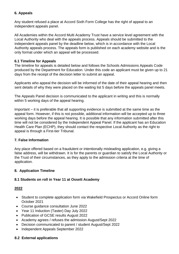# **6. Appeals**

Any student refused a place at Accord Sixth Form College has the right of appeal to an independent appeals panel.

All Academies within the Accord Multi Academy Trust have a service level agreement with the Local Authority who deal with the appeals process. Appeals should be submitted to the independent appeals panel by the deadline below, which is in accordance with the Local Authority appeals process. The appeals form is published on each academy website and is the only format under which an appeal will be processed.

#### **6.1 Timeline for Appeals**

The timeline for appeals is detailed below and follows the Schools Admissions Appeals Code produced by the Department for Education. Under this code an applicant must be given up to 21 days from the receipt of the decision letter to submit an appeal.

Applicants who appeal the decision will be informed of the date of their appeal hearing and then sent details of why they were placed on the waiting list 5 days before the appeals panel meets.

The Appeals Panel decision is communicated to the applicant in writing and this is normally within 5 working days of the appeal hearing.

Important – it is preferable that all supporting evidence is submitted at the same time as the appeal form. However, if this is not possible, additional information will be accepted up to three working days before the appeal hearing. It is possible that any information submitted after this time will not be considered by the Independent Appeal Panel. If the applicant has an Education Health Care Plan (ECHP), they should contact the respective Local Authority as the right to appeal is through a First-tier Tribunal.

# **7. False Information**

Any place offered based on a fraudulent or intentionally misleading application, e.g. giving a false address, will be withdrawn. It is for the parents or guardian to satisfy the Local Authority or the Trust of their circumstances, as they apply to the admission criteria at the time of application.

# **8. Application Timeline**

# **8.1 Students on roll in Year 11 at Ossett Academy**

# **2022**

- Student to complete application form via Wakefield Prospectus or Accord Online form October 2021
- Course guidance consultation June 2022
- Year 11 Induction (Taster) Day July 2022
- Publication of GCSE results August 2022
- Academy agrees / refuses the admission August/Sept 2022
- Decision communicated to parent / student August/Sept 2022
- Independent Appeals September 2022

# **8.2 External applications**